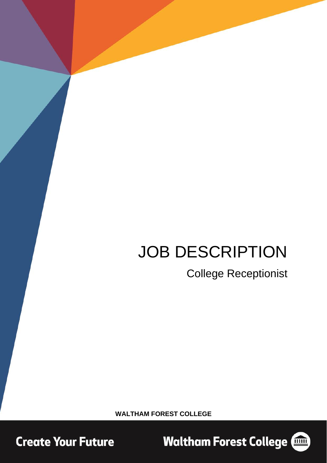# JOB DESCRIPTION

## College Receptionist

**WALTHAM FOREST COLLEGE**

**Create Your Future** 

**Waltham Forest College (1986)** 

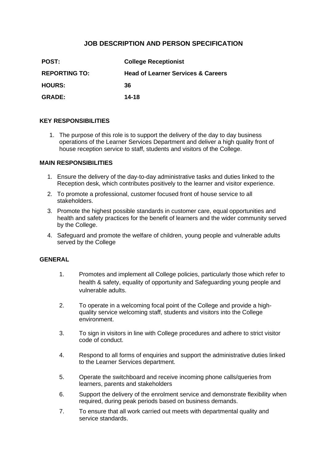### **JOB DESCRIPTION AND PERSON SPECIFICATION**

| <b>POST:</b>         | <b>College Receptionist</b>                   |
|----------------------|-----------------------------------------------|
| <b>REPORTING TO:</b> | <b>Head of Learner Services &amp; Careers</b> |
| <b>HOURS:</b>        | 36                                            |
| <b>GRADE:</b>        | 14-18                                         |

#### **KEY RESPONSIBILITIES**

1. The purpose of this role is to support the delivery of the day to day business operations of the Learner Services Department and deliver a high quality front of house reception service to staff, students and visitors of the College.

#### **MAIN RESPONSIBILITIES**

- 1. Ensure the delivery of the day-to-day administrative tasks and duties linked to the Reception desk, which contributes positively to the learner and visitor experience.
- 2. To promote a professional, customer focused front of house service to all stakeholders.
- 3. Promote the highest possible standards in customer care, equal opportunities and health and safety practices for the benefit of learners and the wider community served by the College.
- 4. Safeguard and promote the welfare of children, young people and vulnerable adults served by the College

#### **GENERAL**

- 1. Promotes and implement all College policies, particularly those which refer to health & safety, equality of opportunity and Safeguarding young people and vulnerable adults.
- 2. To operate in a welcoming focal point of the College and provide a highquality service welcoming staff, students and visitors into the College environment.
- 3. To sign in visitors in line with College procedures and adhere to strict visitor code of conduct.
- 4. Respond to all forms of enquiries and support the administrative duties linked to the Learner Services department.
- 5. Operate the switchboard and receive incoming phone calls/queries from learners, parents and stakeholders
- 6. Support the delivery of the enrolment service and demonstrate flexibility when required, during peak periods based on business demands.
- 7. To ensure that all work carried out meets with departmental quality and service standards.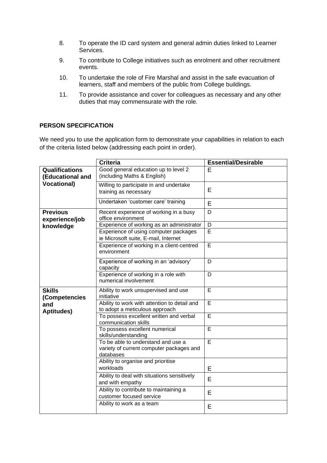- 8. To operate the ID card system and general admin duties linked to Learner Services.
- 9. To contribute to College initiatives such as enrolment and other recruitment events.
- 10. To undertake the role of Fire Marshal and assist in the safe evacuation of learners, staff and members of the public from College buildings.
- 11. To provide assistance and cover for colleagues as necessary and any other duties that may commensurate with the role.

#### **PERSON SPECIFICATION**

We need you to use the application form to demonstrate your capabilities in relation to each of the criteria listed below (addressing each point in order).

|                                           | <b>Criteria</b>                                                                             | <b>Essential/Desirable</b> |
|-------------------------------------------|---------------------------------------------------------------------------------------------|----------------------------|
| <b>Qualifications</b><br>(Educational and | Good general education up to level 2<br>(including Maths & English)                         | E                          |
| <b>Vocational)</b>                        | Willing to participate in and undertake<br>training as necessary                            | Е                          |
|                                           | Undertaken 'customer care' training                                                         | E                          |
| <b>Previous</b><br>experience/job         | Recent experience of working in a busy<br>office environment                                | D                          |
| knowledge                                 | Experience of working as an administrator                                                   | D                          |
|                                           | Experience of using computer packages<br>ie Microsoft suite, E-mail, Internet               | E                          |
|                                           | Experience of working in a client-centred<br>environment                                    | E                          |
|                                           | Experience of working in an 'advisory'<br>capacity                                          | D                          |
|                                           | Experience of working in a role with<br>numerical involvement                               | D                          |
| <b>Skills</b><br>(Competencies            | Ability to work unsupervised and use<br>initiative                                          | E                          |
| and<br>Aptitudes)                         | Ability to work with attention to detail and<br>to adopt a meticulous approach              | E                          |
|                                           | To possess excellent written and verbal<br>communication skills                             | E                          |
|                                           | To possess excellent numerical<br>skills/understanding                                      | E                          |
|                                           | To be able to understand and use a<br>variety of current computer packages and<br>databases | $\overline{E}$             |
|                                           | Ability to organise and prioritise<br>workloads                                             | E                          |
|                                           | Ability to deal with situations sensitively<br>and with empathy                             | E                          |
|                                           | Ability to contribute to maintaining a<br>customer focused service                          | E                          |
|                                           | Ability to work as a team                                                                   | E                          |